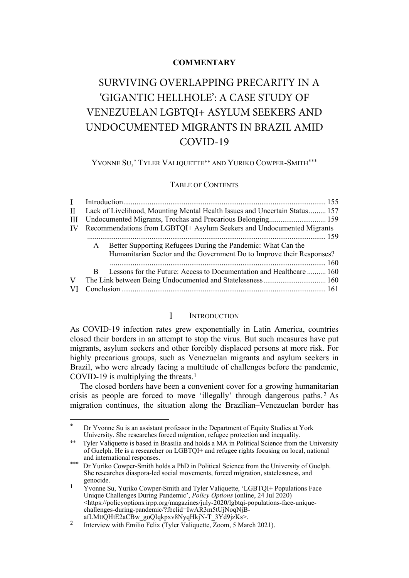# **COMMENTARY**

# SURVIVING OVERLAPPING PRECARITY IN A 'GIGANTIC HELLHOLE': A CASE STUDY OF VENEZUELAN LGBTQI+ ASYLUM SEEKERS AND UNDOCUMENTED MIGRANTS IN BRAZIL AMID COVID-19

YVONNE SU,[\\*](#page-0-1) TYLER VALIQUETTE[∗∗](#page-0-2) AND YURIKO COWPER-SMITH\*\*\*

# TABLE OF CONTENTS

| $\mathbf{I}$ |                                                                               |                                                                       |  |  |  |
|--------------|-------------------------------------------------------------------------------|-----------------------------------------------------------------------|--|--|--|
|              | II Lack of Livelihood, Mounting Mental Health Issues and Uncertain Status 157 |                                                                       |  |  |  |
| Ш            |                                                                               |                                                                       |  |  |  |
| IV           |                                                                               | Recommendations from LGBTQI+ Asylum Seekers and Undocumented Migrants |  |  |  |
|              |                                                                               |                                                                       |  |  |  |
|              | $\mathsf{A}$                                                                  | Better Supporting Refugees During the Pandemic: What Can the          |  |  |  |
|              |                                                                               | Humanitarian Sector and the Government Do to Improve their Responses? |  |  |  |
|              |                                                                               |                                                                       |  |  |  |
|              | B.                                                                            | Lessons for the Future: Access to Documentation and Healthcare  160   |  |  |  |
| V            |                                                                               |                                                                       |  |  |  |
|              |                                                                               |                                                                       |  |  |  |
|              |                                                                               |                                                                       |  |  |  |

### $\mathbf{I}$ **INTRODUCTION**

<span id="page-0-0"></span>As COVID-19 infection rates grew exponentially in Latin America, countries closed their borders in an attempt to stop the virus. But such measures have put migrants, asylum seekers and other forcibly displaced persons at more risk. For highly precarious groups, such as Venezuelan migrants and asylum seekers in Brazil, who were already facing a multitude of challenges before the pandemic, COVID-19 is multiplying the threats.[1](#page-0-3)

The closed borders have been a convenient cover for a growing humanitarian crisis as people are forced to move 'illegally' through dangerous paths. [2](#page-0-4) As migration continues, the situation along the Brazilian–Venezuelan border has

<span id="page-0-1"></span>Dr Yvonne Su is an assistant professor in the Department of Equity Studies at York University. She researches forced migration, refugee protection and inequality.

<span id="page-0-2"></span>Tyler Valiquette is based in Brasilia and holds a MA in Political Science from the University of Guelph. He is a researcher on LGBTQI+ and refugee rights focusing on local, national and international responses.

<sup>\*\*\*</sup> Dr Yuriko Cowper-Smith holds a PhD in Political Science from the University of Guelph. She researches diaspora-led social movements, forced migration, statelessness, and genocide.

<span id="page-0-3"></span><sup>1</sup> Yvonne Su, Yuriko Cowper-Smith and Tyler Valiquette, 'LGBTQI+ Populations Face Unique Challenges During Pandemic', *Policy Options* (online, 24 Jul 2020) <https://policyoptions.irpp.org/magazines/july-2020/lgbtqi-populations-face-uniquechallenges-during-pandemic/?fbclid=IwAR3m5tUjNoqNjBafLMttQHtE2aCBw\_goQIqkpxv8NyqHkjN-T\_3Yd9jzKs>.

<span id="page-0-4"></span><sup>&</sup>lt;sup>2</sup> Interview with Emilio Felix (Tyler Valiquette, Zoom, 5 March 2021).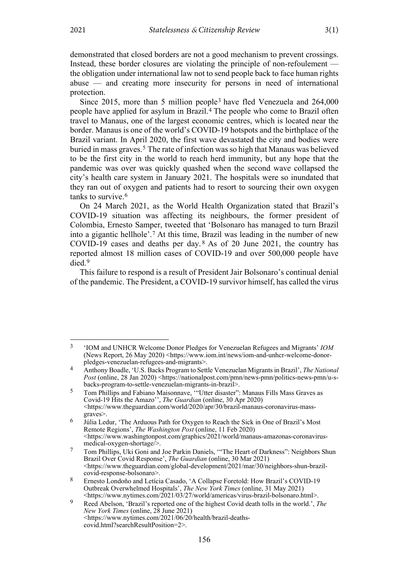demonstrated that closed borders are not a good mechanism to prevent crossings. Instead, these border closures are violating the principle of non-refoulement the obligation under international law not to send people back to face human rights abuse — and creating more insecurity for persons in need of international protection.

Since 2015, more than 5 million people[3](#page-1-0) have fled Venezuela and 264,000 people have applied for asylum in Brazil.[4](#page-1-1) The people who come to Brazil often travel to Manaus, one of the largest economic centres, which is located near the border. Manaus is one of the world's COVID-19 hotspots and the birthplace of the Brazil variant. In April 2020, the first wave devastated the city and bodies were buried in mass graves.[5](#page-1-2) The rate of infection was so high that Manaus was believed to be the first city in the world to reach herd immunity, but any hope that the pandemic was over was quickly quashed when the second wave collapsed the city's health care system in January 2021. The hospitals were so inundated that they ran out of oxygen and patients had to resort to sourcing their own oxygen tanks to survive.[6](#page-1-3)

On 24 March 2021, as the World Health Organization stated that Brazil's COVID-19 situation was affecting its neighbours, the former president of Colombia, Ernesto Samper, tweeted that 'Bolsonaro has managed to turn Brazil into a gigantic hellhole'.[7](#page-1-4) At this time, Brazil was leading in the number of new COVID-19 cases and deaths per day. [8](#page-1-5) As of 20 June 2021, the country has reported almost 18 million cases of COVID-19 and over 500,000 people have died.[9](#page-1-6)

This failure to respond is a result of President Jair Bolsonaro's continual denial of the pandemic. The President, a COVID-19 survivor himself, has called the virus

<span id="page-1-0"></span><sup>3</sup> 'IOM and UNHCR Welcome Donor Pledges for Venezuelan Refugees and Migrants' *IOM* (News Report, 26 May 2020) [<https://www.iom.int/news/iom-and-unhcr-welcome-donor](https://www.iom.int/news/iom-and-unhcr-welcome-donor-pledges-venezuelan-refugees-and-migrants)[pledges-venezuelan-refugees-and-migrants>](https://www.iom.int/news/iom-and-unhcr-welcome-donor-pledges-venezuelan-refugees-and-migrants).

<span id="page-1-1"></span><sup>4</sup> Anthony Boadle, 'U.S. Backs Program to Settle Venezuelan Migrants in Brazil', *The National Post* (online, 28 Jan 2020) <https://nationalpost.com/pmn/news-pmn/politics-news-pmn/u-sbacks-program-to-settle-venezuelan-migrants-in-brazil>.

<span id="page-1-2"></span><sup>5</sup> Tom Phillips and Fabiano Maisonnave, '"Utter disaster": Manaus Fills Mass Graves as Covid-19 Hits the Amazo'', *The Guardian* (online, 30 Apr 2020) [<https://www.theguardian.com/world/2020/apr/30/brazil-manaus-coronavirus-mass](https://www.theguardian.com/world/2020/apr/30/brazil-manaus-coronavirus-mass-graves)[graves>](https://www.theguardian.com/world/2020/apr/30/brazil-manaus-coronavirus-mass-graves).

<span id="page-1-3"></span><sup>6</sup> Júlia Ledur, 'The Arduous Path for Oxygen to Reach the Sick in One of Brazil's Most Remote Regions', *The Washington Post* (online, 11 Feb 2020) <https://www.washingtonpost.com/graphics/2021/world/manaus-amazonas-coronavirusmedical-oxygen-shortage/>.

<span id="page-1-4"></span><sup>7</sup> Tom Phillips, Uki Goni and Joe Parkin Daniels, '"The Heart of Darkness": Neighbors Shun Brazil Over Covid Response', *The Guardian* (online, 30 Mar 2021) <https://www.theguardian.com/global-development/2021/mar/30/neighbors-shun-brazilcovid-response-bolsonaro>.

<span id="page-1-5"></span><sup>8</sup> Ernesto Londoño and Letícia Casado, 'A Collapse Foretold: How Brazil's COVID-19 Outbreak Overwhelmed Hospitals', *The New York Times* (online, 31 May 2021) <https://www.nytimes.com/2021/03/27/world/americas/virus-brazil-bolsonaro.html>.

<span id="page-1-6"></span><sup>9</sup> Reed Abelson, 'Brazil's reported one of the highest Covid death tolls in the world.', *The New York Times* (online, 28 June 2021) <https://www.nytimes.com/2021/06/20/health/brazil-deathscovid.html?searchResultPosition=2>.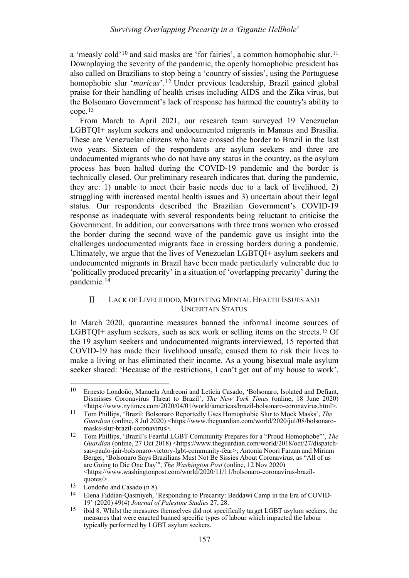a 'measly cold'[10](#page-2-1) and said masks are 'for fairies', a common homophobic slur[.11](#page-2-2) Downplaying the severity of the pandemic, the openly homophobic president has also called on Brazilians to stop being a 'country of sissies', using the Portuguese homophobic slur '*maricas*'.[12](#page-2-3) Under previous leadership, Brazil gained global praise for their handling of health crises including AIDS and the Zika virus, but the Bolsonaro Government's lack of response has harmed the country's ability to cope.[13](#page-2-4)

From March to April 2021, our research team surveyed 19 Venezuelan LGBTQI+ asylum seekers and undocumented migrants in Manaus and Brasilia. These are Venezuelan citizens who have crossed the border to Brazil in the last two years. Sixteen of the respondents are asylum seekers and three are undocumented migrants who do not have any status in the country, as the asylum process has been halted during the COVID-19 pandemic and the border is technically closed. Our preliminary research indicates that, during the pandemic, they are: 1) unable to meet their basic needs due to a lack of livelihood, 2) struggling with increased mental health issues and 3) uncertain about their legal status. Our respondents described the Brazilian Government's COVID-19 response as inadequate with several respondents being reluctant to criticise the Government. In addition, our conversations with three trans women who crossed the border during the second wave of the pandemic gave us insight into the challenges undocumented migrants face in crossing borders during a pandemic. Ultimately, we argue that the lives of Venezuelan LGBTQI+ asylum seekers and undocumented migrants in Brazil have been made particularly vulnerable due to 'politically produced precarity' in a situation of 'overlapping precarity' during the pandemic.[14](#page-2-5)

### <span id="page-2-7"></span><span id="page-2-0"></span> $\mathbf{H}$ LACK OF LIVELIHOOD, MOUNTING MENTAL HEALTH ISSUES AND UNCERTAIN STATUS

In March 2020, quarantine measures banned the informal income sources of LGBTQI+ asylum seekers, such as sex work or selling items on the streets.<sup>[15](#page-2-6)</sup> Of the 19 asylum seekers and undocumented migrants interviewed, 15 reported that COVID-19 has made their livelihood unsafe, caused them to risk their lives to make a living or has eliminated their income. As a young bisexual male asylum seeker shared: 'Because of the restrictions, I can't get out of my house to work'.

<span id="page-2-1"></span><sup>10</sup> Ernesto Londoño, Manuela Andreoni and Letícia Casado, 'Bolsonaro, Isolated and Defiant, Dismisses Coronavirus Threat to Brazil', *The New York Times* (online, 18 June 2020) [<https://www.nytimes.com/2020/04/01/world/americas/brazil-bolsonaro-coronavirus.html>](https://www.nytimes.com/2020/04/01/world/americas/brazil-bolsonaro-coronavirus.html).

<span id="page-2-2"></span><sup>11</sup> Tom Phillips, 'Brazil: Bolsonaro Reportedly Uses Homophobic Slur to Mock Masks', *The Guardian* (online, 8 Jul 2020) [<https://www.theguardian.com/world/2020/jul/08/bolsonaro](https://www.theguardian.com/world/2020/jul/08/bolsonaro-masks-slur-brazil-coronavirus)[masks-slur-brazil-coronavirus>](https://www.theguardian.com/world/2020/jul/08/bolsonaro-masks-slur-brazil-coronavirus).

<span id="page-2-3"></span><sup>12</sup> Tom Phillips, 'Brazil's Fearful LGBT Community Prepares for a "Proud Homophobe"', *The Guardian* (online, 27 Oct 2018) <https://www.theguardian.com/world/2018/oct/27/dispatchsao-paulo-jair-bolsonaro-victory-lgbt-community-fear>; Antonia Noori Farzan and Miriam Berger, 'Bolsonaro Says Brazilians Must Not Be Sissies About Coronavirus, as "All of us are Going to Die One Day"', *The Washington Post* (online, 12 Nov 2020) [<https://www.washingtonpost.com/world/2020/11/11/bolsonaro-coronavirus-brazil](https://www.washingtonpost.com/world/2020/11/11/bolsonaro-coronavirus-brazil-quotes/)[quotes/>](https://www.washingtonpost.com/world/2020/11/11/bolsonaro-coronavirus-brazil-quotes/).

<span id="page-2-5"></span><span id="page-2-4"></span> $\frac{13}{14}$  Londoño and Casado (n 8).

<sup>14</sup> Elena Fiddian-Qasmiyeh, 'Responding to Precarity: Beddawi Camp in the Era of COVID-19' (2020) 49(4) *Journal of Palestine Studies* 27, 28.

<span id="page-2-6"></span><sup>15</sup> ibid 8. Whilst the measures themselves did not specifically target LGBT asylum seekers, the measures that were enacted banned specific types of labour which impacted the labour typically performed by LGBT asylum seekers.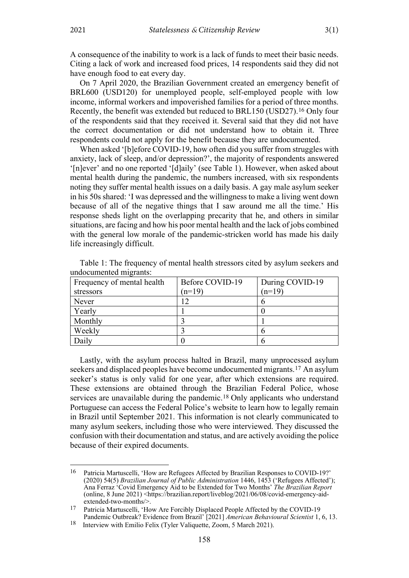A consequence of the inability to work is a lack of funds to meet their basic needs. Citing a lack of work and increased food prices, 14 respondents said they did not have enough food to eat every day.

<span id="page-3-3"></span>On 7 April 2020, the Brazilian Government created an emergency benefit of BRL600 (USD120) for unemployed people, self-employed people with low income, informal workers and impoverished families for a period of three months. Recently, the benefit was extended but reduced to BRL150 (USD27).[16](#page-3-0) Only four of the respondents said that they received it. Several said that they did not have the correct documentation or did not understand how to obtain it. Three respondents could not apply for the benefit because they are undocumented.

When asked '[b]efore COVID-19, how often did you suffer from struggles with anxiety, lack of sleep, and/or depression?', the majority of respondents answered '[n]ever' and no one reported '[d]aily' (see Table 1). However, when asked about mental health during the pandemic, the numbers increased, with six respondents noting they suffer mental health issues on a daily basis. A gay male asylum seeker in his 50s shared: 'I was depressed and the willingness to make a living went down because of all of the negative things that I saw around me all the time.' His response sheds light on the overlapping precarity that he, and others in similar situations, are facing and how his poor mental health and the lack of jobs combined with the general low morale of the pandemic-stricken world has made his daily life increasingly difficult.

| Frequency of mental health | Before COVID-19 | During COVID-19 |
|----------------------------|-----------------|-----------------|
| stressors                  | $(n=19)$        | $(n=19)$        |
| Never                      | 12              |                 |
| Yearly                     |                 |                 |
| Monthly                    |                 |                 |
| Weekly                     |                 |                 |
| Daily                      |                 |                 |

Table 1: The frequency of mental health stressors cited by asylum seekers and undocumented migrants:

Lastly, with the asylum process halted in Brazil, many unprocessed asylum seekers and displaced peoples have become undocumented migrants.[17](#page-3-1) An asylum seeker's status is only valid for one year, after which extensions are required. These extensions are obtained through the Brazilian Federal Police, whose services are unavailable during the pandemic.<sup>[18](#page-3-2)</sup> Only applicants who understand Portuguese can access the Federal Police's website to learn how to legally remain in Brazil until September 2021. This information is not clearly communicated to many asylum seekers, including those who were interviewed. They discussed the confusion with their documentation and status, and are actively avoiding the police because of their expired documents.

<span id="page-3-0"></span><sup>16</sup> Patricia Martuscelli, 'How are Refugees Affected by Brazilian Responses to COVID-19?' (2020) 54(5) *Brazilian Journal of Public Administration* 1446, 1453 ('Refugees Affected'); Ana Ferraz 'Covid Emergency Aid to be Extended for Two Months' *The Brazilian Report* (online, 8 June 2021) [<https://brazilian.report/liveblog/2021/06/08/covid-emergency-aid](https://brazilian.report/liveblog/2021/06/08/covid-emergency-aid-extended-two-months/)[extended-two-months/>](https://brazilian.report/liveblog/2021/06/08/covid-emergency-aid-extended-two-months/).

<span id="page-3-1"></span><sup>17</sup> Patricia Martuscelli, 'How Are Forcibly Displaced People Affected by the COVID-19 Pandemic Outbreak? Evidence from Brazil' [2021] *American Behavioural Scientist* 1, 6, 13.

<span id="page-3-2"></span><sup>18</sup> Interview with Emilio Felix (Tyler Valiquette, Zoom, 5 March 2021).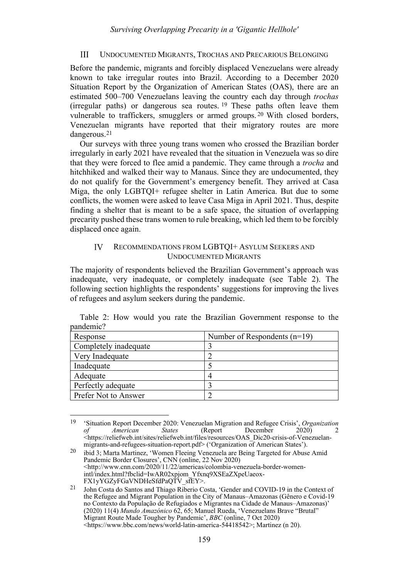### <span id="page-4-2"></span><span id="page-4-0"></span> $III$ UNDOCUMENTED MIGRANTS, TROCHAS AND PRECARIOUS BELONGING

Before the pandemic, migrants and forcibly displaced Venezuelans were already known to take irregular routes into Brazil. According to a December 2020 Situation Report by the Organization of American States (OAS), there are an estimated 500–700 Venezuelans leaving the country each day through *trochas* (irregular paths) or dangerous sea routes. [19](#page-4-3) These paths often leave them vulnerable to traffickers, smugglers or armed groups. [20](#page-4-4) With closed borders, Venezuelan migrants have reported that their migratory routes are more dangerous.[21](#page-4-5)

Our surveys with three young trans women who crossed the Brazilian border irregularly in early 2021 have revealed that the situation in Venezuela was so dire that they were forced to flee amid a pandemic. They came through a *trocha* and hitchhiked and walked their way to Manaus. Since they are undocumented, they do not qualify for the Government's emergency benefit. They arrived at Casa Miga, the only LGBTQI+ refugee shelter in Latin America. But due to some conflicts, the women were asked to leave Casa Miga in April 2021. Thus, despite finding a shelter that is meant to be a safe space, the situation of overlapping precarity pushed these trans women to rule breaking, which led them to be forcibly displaced once again.

### <span id="page-4-1"></span>IV RECOMMENDATIONS FROM LGBTQI+ ASYLUM SEEKERS AND UNDOCUMENTED MIGRANTS

The majority of respondents believed the Brazilian Government's approach was inadequate, very inadequate, or completely inadequate (see Table 2). The following section highlights the respondents' suggestions for improving the lives of refugees and asylum seekers during the pandemic.

| Response              | Number of Respondents $(n=19)$ |  |  |
|-----------------------|--------------------------------|--|--|
| Completely inadequate |                                |  |  |
| Very Inadequate       |                                |  |  |
| Inadequate            |                                |  |  |
| Adequate              |                                |  |  |
| Perfectly adequate    |                                |  |  |
| Prefer Not to Answer  |                                |  |  |

Table 2: How would you rate the Brazilian Government response to the pandemic?

<span id="page-4-3"></span><sup>19</sup> 'Situation Report December 2020: Venezuelan Migration and Refugee Crisis', *Organization of American States* (Report December 2020) 2 <https://reliefweb.int/sites/reliefweb.int/files/resources/OAS\_Dic20-crisis-of-Venezuelanmigrants-and-refugees-situation-report.pdf> ('Organization of American States').

<span id="page-4-4"></span><sup>20</sup> ibid 3; Marta Martinez, 'Women Fleeing Venezuela are Being Targeted for Abuse Amid Pandemic Border Closures', CNN (online, 22 Nov 2020) <http://www.cnn.com/2020/11/22/americas/colombia-venezuela-border-womenintl/index.html?fbclid=IwAR02xpjom\_Yfxnq9XSEaZXpeUaeox-FX1yYGZyFGaVNDHeSfdPaQTV\_sfEY>.

<span id="page-4-5"></span><sup>21</sup> John Costa do Santos and Thiago Riberio Costa, 'Gender and COVID-19 in the Context of the Refugee and Migrant Population in the City of Manaus–Amazonas (Gênero e Covid-19 no Contexto da População de Refugiados e Migrantes na Cidade de Manaus–Amazonas)' (2020) 11(4) *Mundo Amazónico* 62, 65; Manuel Rueda, 'Venezuelans Brave "Brutal" Migrant Route Made Tougher by Pandemic', *BBC* (online, 7 Oct 2020) <https://www.bbc.com/news/world-latin-america-54418542>; Martinez (n [20\)](#page-4-2).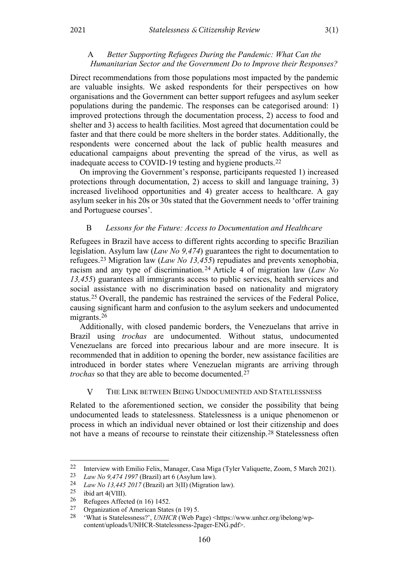# <span id="page-5-0"></span>A *Better Supporting Refugees During the Pandemic: What Can the Humanitarian Sector and the Government Do to Improve their Responses?*

Direct recommendations from those populations most impacted by the pandemic are valuable insights. We asked respondents for their perspectives on how organisations and the Government can better support refugees and asylum seeker populations during the pandemic. The responses can be categorised around: 1) improved protections through the documentation process, 2) access to food and shelter and 3) access to health facilities. Most agreed that documentation could be faster and that there could be more shelters in the border states. Additionally, the respondents were concerned about the lack of public health measures and educational campaigns about preventing the spread of the virus, as well as inadequate access to COVID-19 testing and hygiene products.[22](#page-5-3)

On improving the Government's response, participants requested 1) increased protections through documentation, 2) access to skill and language training, 3) increased livelihood opportunities and 4) greater access to healthcare. A gay asylum seeker in his 20s or 30s stated that the Government needs to 'offer training and Portuguese courses'.

## <span id="page-5-1"></span>B *Lessons for the Future: Access to Documentation and Healthcare*

Refugees in Brazil have access to different rights according to specific Brazilian legislation. Asylum law (*Law No 9,474*) guarantees the right to documentation to refugees.[23](#page-5-4) Migration law (*Law No 13,455*) repudiates and prevents xenophobia, racism and any type of discrimination. [24](#page-5-5) Article 4 of migration law (*Law No 13,455*) guarantees all immigrants access to public services, health services and social assistance with no discrimination based on nationality and migratory status.[25](#page-5-6) Overall, the pandemic has restrained the services of the Federal Police, causing significant harm and confusion to the asylum seekers and undocumented migrants.<sup>[26](#page-5-7)</sup>

Additionally, with closed pandemic borders, the Venezuelans that arrive in Brazil using *trochas* are undocumented. Without status, undocumented Venezuelans are forced into precarious labour and are more insecure. It is recommended that in addition to opening the border, new assistance facilities are introduced in border states where Venezuelan migrants are arriving through *trochas* so that they are able to become documented.<sup>[27](#page-5-8)</sup>

#### <span id="page-5-2"></span> $\overline{V}$ THE LINK BETWEEN BEING UNDOCUMENTED AND STATELESSNESS

Related to the aforementioned section, we consider the possibility that being undocumented leads to statelessness. Statelessness is a unique phenomenon or process in which an individual never obtained or lost their citizenship and does not have a means of recourse to reinstate their citizenship.[28](#page-5-9) Statelessness often

<span id="page-5-3"></span><sup>22</sup> Interview with Emilio Felix, Manager, Casa Miga (Tyler Valiquette, Zoom, 5 March 2021).

<span id="page-5-4"></span><sup>23</sup> *Law No 9,474 1997* (Brazil) art 6 (Asylum law).

<span id="page-5-5"></span><sup>24</sup> *Law No 13,445 2017* (Brazil) art 3(II) (Migration law).<br>25 ibid art 4(MIII)

<span id="page-5-6"></span> $\frac{25}{26}$  ibid art 4(VIII).

<span id="page-5-7"></span> $\frac{26}{27}$  Refugees Affected (n [16\)](#page-3-3) 1452.<br>27 Organization of American State

<span id="page-5-9"></span><span id="page-5-8"></span><sup>&</sup>lt;sup>27</sup> Organization of American States (n 19) 5.<br>
<sup>28</sup> What is Statelessness<sup>2</sup>, *LNUCR* (Web B)

<sup>&</sup>lt;sup>28</sup> 'What is Statelessness?', *UNHCR* (Web Page) <https://www.unhcr.org/ibelong/wpcontent/uploads/UNHCR-Statelessness-2pager-ENG.pdf>.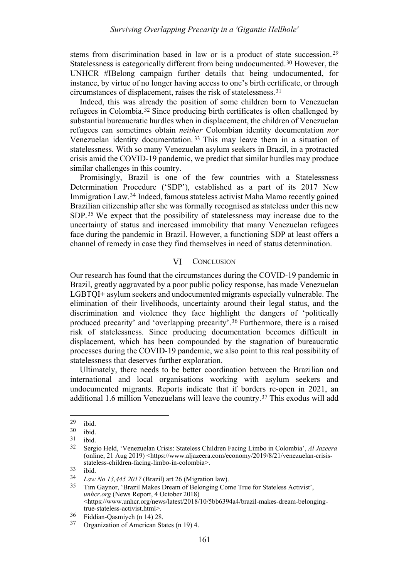stems from discrimination based in law or is a product of state succession. [29](#page-6-1) Statelessness is categorically different from being undocumented.[30](#page-6-2) However, the UNHCR #IBelong campaign further details that being undocumented, for instance, by virtue of no longer having access to one's birth certificate, or through circumstances of displacement, raises the risk of statelessness.[31](#page-6-3)

Indeed, this was already the position of some children born to Venezuelan refugees in Colombia.[32](#page-6-4) Since producing birth certificates is often challenged by substantial bureaucratic hurdles when in displacement, the children of Venezuelan refugees can sometimes obtain *neither* Colombian identity documentation *nor*  Venezuelan identity documentation. [33](#page-6-5) This may leave them in a situation of statelessness. With so many Venezuelan asylum seekers in Brazil, in a protracted crisis amid the COVID-19 pandemic, we predict that similar hurdles may produce similar challenges in this country.

Promisingly, Brazil is one of the few countries with a Statelessness Determination Procedure ('SDP'), established as a part of its 2017 New Immigration Law.[34](#page-6-6) Indeed, famous stateless activist Maha Mamo recently gained Brazilian citizenship after she was formally recognised as stateless under this new SDP.[35](#page-6-7) We expect that the possibility of statelessness may increase due to the uncertainty of status and increased immobility that many Venezuelan refugees face during the pandemic in Brazil. However, a functioning SDP at least offers a channel of remedy in case they find themselves in need of status determination.

#### VI **CONCLUSION**

<span id="page-6-0"></span>Our research has found that the circumstances during the COVID-19 pandemic in Brazil, greatly aggravated by a poor public policy response, has made Venezuelan LGBTQI+ asylum seekers and undocumented migrants especially vulnerable. The elimination of their livelihoods, uncertainty around their legal status, and the discrimination and violence they face highlight the dangers of 'politically produced precarity' and 'overlapping precarity'.[36](#page-6-8) Furthermore, there is a raised risk of statelessness. Since producing documentation becomes difficult in displacement, which has been compounded by the stagnation of bureaucratic processes during the COVID-19 pandemic, we also point to this real possibility of statelessness that deserves further exploration.

Ultimately, there needs to be better coordination between the Brazilian and international and local organisations working with asylum seekers and undocumented migrants. Reports indicate that if borders re-open in 2021, an additional 1.6 million Venezuelans will leave the country.[37](#page-6-9) This exodus will add

<span id="page-6-1"></span> $\begin{matrix} 29 \\ 30 \\ \end{matrix}$  ibid.

<span id="page-6-2"></span> $\frac{30}{31}$  ibid.

<span id="page-6-4"></span><span id="page-6-3"></span> $\frac{31}{32}$  ibid.

<sup>32</sup> Sergio Held, 'Venezuelan Crisis: Stateless Children Facing Limbo in Colombia', *Al Jazeera*  (online, 21 Aug 2019) <https://www.aljazeera.com/economy/2019/8/21/venezuelan-crisisstateless-children-facing-limbo-in-colombia>.

<span id="page-6-5"></span> $\frac{33}{34}$  ibid.

<span id="page-6-7"></span><span id="page-6-6"></span><sup>34</sup> *Law No 13,445 2017* (Brazil) art 26 (Migration law).

<sup>35</sup> Tim Gaynor, 'Brazil Makes Dream of Belonging Come True for Stateless Activist', *unhcr.org* (News Report, 4 October 2018) <https://www.unhcr.org/news/latest/2018/10/5bb6394a4/brazil-makes-dream-belongingtrue-stateless-activist.html>.

<span id="page-6-9"></span><span id="page-6-8"></span><sup>36</sup> Fiddian-Qasmiyeh ([n 14\)](#page-2-7) 28. 37 Organization of American States (n 19) 4.